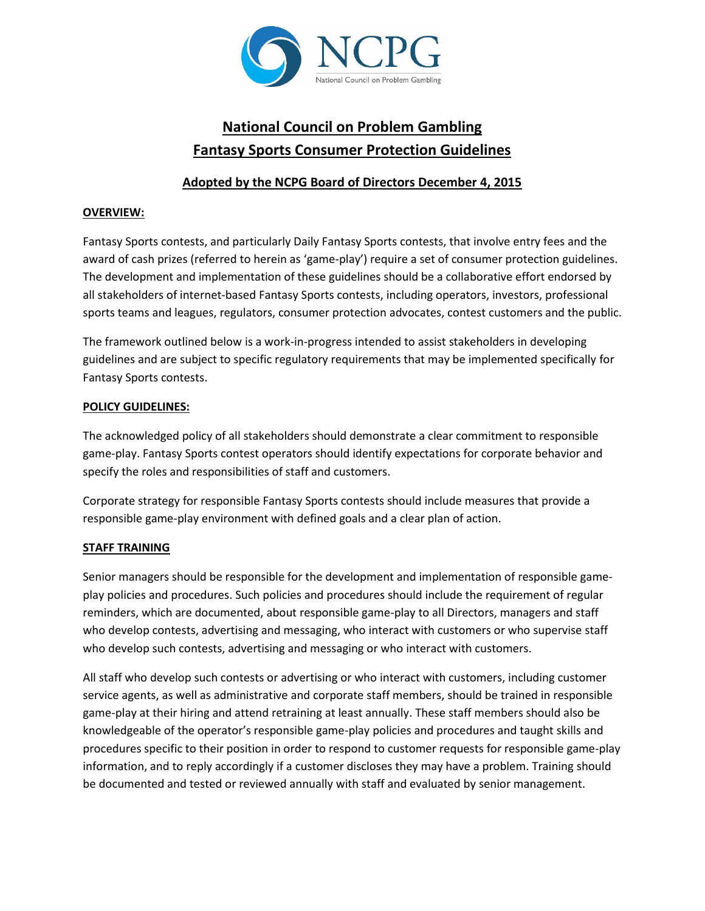

# **National Council on Problem Gambling Fantasy Sports Consumer Protection Guidelines**

## **Adopted by the NCPG Board of Directors December 4, 2015**

### **OVERVIEW:**

Fantasy Sports contests, and particularly Daily Fantasy Sports contests, that involve entry fees and the award of cash prizes (referred to herein as 'game-play') require a set of consumer protection guidelines. The development and implementation of these guidelines should be a collaborative effort endorsed by all stakeholders of internet-based Fantasy Sports contests, including operators, investors, professional sports teams and leagues, regulators, consumer protection advocates, contest customers and the public.

The framework outlined below is a work-in-progress intended to assist stakeholders in developing guidelines and are subject to specific regulatory requirements that may be implemented specifically for Fantasy Sports contests.

#### **POLICY GUIDELINES:**

The acknowledged policy of all stakeholders should demonstrate a clear commitment to responsible game-play. Fantasy Sports contest operators should identify expectations for corporate behavior and specify the roles and responsibilities of staff and customers.

Corporate strategy for responsible Fantasy Sports contests should include measures that provide a responsible game-play environment with defined goals and a clear plan of action.

## **STAFF TRAINING**

Senior managers should be responsible for the development and implementation of responsible gameplay policies and procedures. Such policies and procedures should include the requirement of regular reminders, which are documented, about responsible game-play to all Directors, managers and staff who develop contests, advertising and messaging, who interact with customers or who supervise staff who develop such contests, advertising and messaging or who interact with customers.

All staff who develop such contests or advertising or who interact with customers, including customer service agents, as well as administrative and corporate staff members, should be trained in responsible game-play at their hiring and attend retraining at least annually. These staff members should also be knowledgeable of the operator's responsible game-play policies and procedures and taught skills and procedures specific to their position in order to respond to customer requests for responsible game-play information, and to reply accordingly if a customer discloses they may have a problem. Training should be documented and tested or reviewed annually with staff and evaluated by senior management.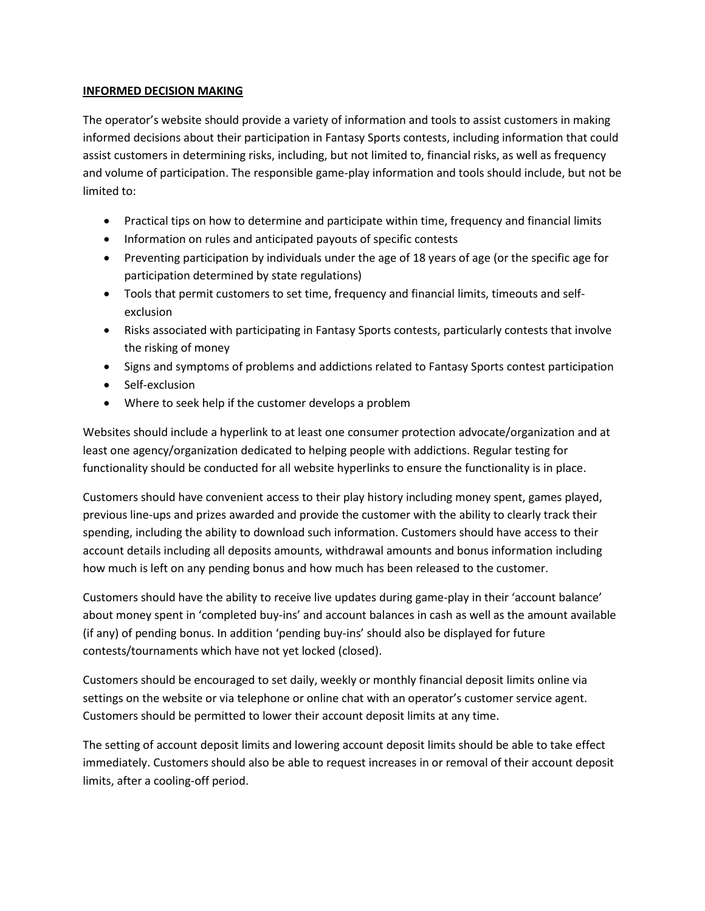#### **INFORMED DECISION MAKING**

The operator's website should provide a variety of information and tools to assist customers in making informed decisions about their participation in Fantasy Sports contests, including information that could assist customers in determining risks, including, but not limited to, financial risks, as well as frequency and volume of participation. The responsible game-play information and tools should include, but not be limited to:

- Practical tips on how to determine and participate within time, frequency and financial limits
- Information on rules and anticipated payouts of specific contests
- Preventing participation by individuals under the age of 18 years of age (or the specific age for participation determined by state regulations)
- Tools that permit customers to set time, frequency and financial limits, timeouts and selfexclusion
- Risks associated with participating in Fantasy Sports contests, particularly contests that involve the risking of money
- Signs and symptoms of problems and addictions related to Fantasy Sports contest participation
- Self-exclusion
- Where to seek help if the customer develops a problem

Websites should include a hyperlink to at least one consumer protection advocate/organization and at least one agency/organization dedicated to helping people with addictions. Regular testing for functionality should be conducted for all website hyperlinks to ensure the functionality is in place.

Customers should have convenient access to their play history including money spent, games played, previous line-ups and prizes awarded and provide the customer with the ability to clearly track their spending, including the ability to download such information. Customers should have access to their account details including all deposits amounts, withdrawal amounts and bonus information including how much is left on any pending bonus and how much has been released to the customer.

Customers should have the ability to receive live updates during game-play in their 'account balance' about money spent in 'completed buy-ins' and account balances in cash as well as the amount available (if any) of pending bonus. In addition 'pending buy-ins' should also be displayed for future contests/tournaments which have not yet locked (closed).

Customers should be encouraged to set daily, weekly or monthly financial deposit limits online via settings on the website or via telephone or online chat with an operator's customer service agent. Customers should be permitted to lower their account deposit limits at any time.

The setting of account deposit limits and lowering account deposit limits should be able to take effect immediately. Customers should also be able to request increases in or removal of their account deposit limits, after a cooling-off period.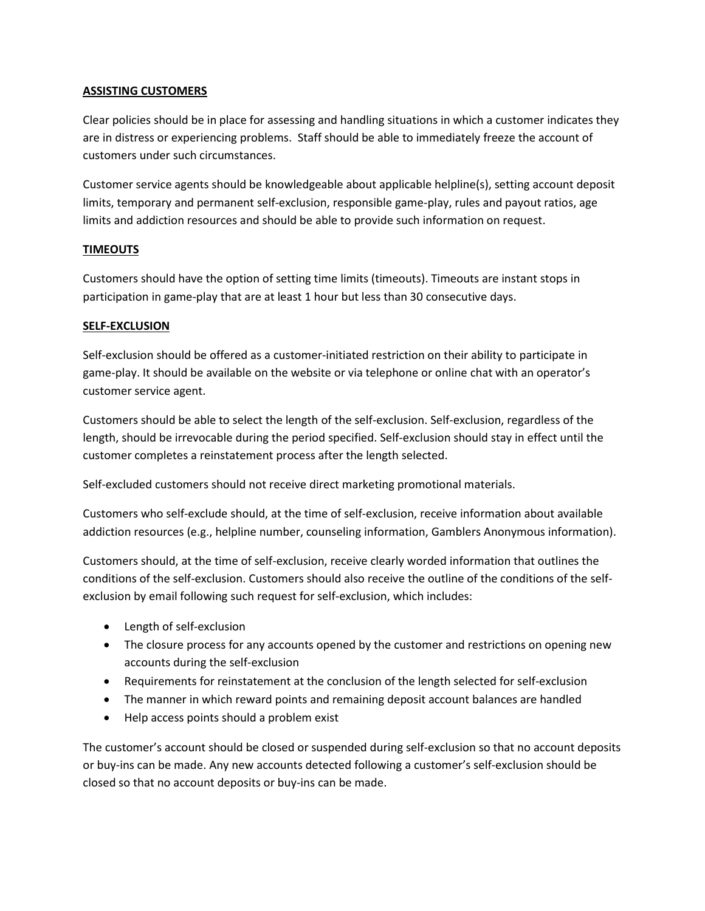#### **ASSISTING CUSTOMERS**

Clear policies should be in place for assessing and handling situations in which a customer indicates they are in distress or experiencing problems. Staff should be able to immediately freeze the account of customers under such circumstances.

Customer service agents should be knowledgeable about applicable helpline(s), setting account deposit limits, temporary and permanent self-exclusion, responsible game-play, rules and payout ratios, age limits and addiction resources and should be able to provide such information on request.

#### **TIMEOUTS**

Customers should have the option of setting time limits (timeouts). Timeouts are instant stops in participation in game-play that are at least 1 hour but less than 30 consecutive days.

#### **SELF-EXCLUSION**

Self-exclusion should be offered as a customer-initiated restriction on their ability to participate in game-play. It should be available on the website or via telephone or online chat with an operator's customer service agent.

Customers should be able to select the length of the self-exclusion. Self-exclusion, regardless of the length, should be irrevocable during the period specified. Self-exclusion should stay in effect until the customer completes a reinstatement process after the length selected.

Self-excluded customers should not receive direct marketing promotional materials.

Customers who self-exclude should, at the time of self-exclusion, receive information about available addiction resources (e.g., helpline number, counseling information, Gamblers Anonymous information).

Customers should, at the time of self-exclusion, receive clearly worded information that outlines the conditions of the self-exclusion. Customers should also receive the outline of the conditions of the selfexclusion by email following such request for self-exclusion, which includes:

- Length of self-exclusion
- The closure process for any accounts opened by the customer and restrictions on opening new accounts during the self-exclusion
- Requirements for reinstatement at the conclusion of the length selected for self-exclusion
- The manner in which reward points and remaining deposit account balances are handled
- Help access points should a problem exist

The customer's account should be closed or suspended during self-exclusion so that no account deposits or buy-ins can be made. Any new accounts detected following a customer's self-exclusion should be closed so that no account deposits or buy-ins can be made.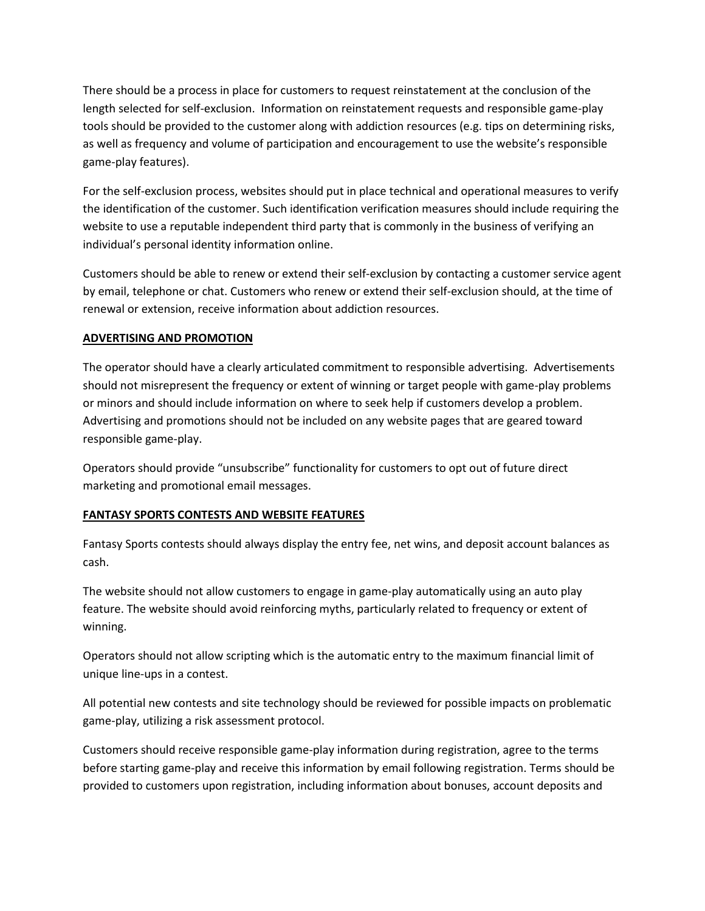There should be a process in place for customers to request reinstatement at the conclusion of the length selected for self-exclusion. Information on reinstatement requests and responsible game-play tools should be provided to the customer along with addiction resources (e.g. tips on determining risks, as well as frequency and volume of participation and encouragement to use the website's responsible game-play features).

For the self-exclusion process, websites should put in place technical and operational measures to verify the identification of the customer. Such identification verification measures should include requiring the website to use a reputable independent third party that is commonly in the business of verifying an individual's personal identity information online.

Customers should be able to renew or extend their self-exclusion by contacting a customer service agent by email, telephone or chat. Customers who renew or extend their self-exclusion should, at the time of renewal or extension, receive information about addiction resources.

## **ADVERTISING AND PROMOTION**

The operator should have a clearly articulated commitment to responsible advertising. Advertisements should not misrepresent the frequency or extent of winning or target people with game-play problems or minors and should include information on where to seek help if customers develop a problem. Advertising and promotions should not be included on any website pages that are geared toward responsible game-play.

Operators should provide "unsubscribe" functionality for customers to opt out of future direct marketing and promotional email messages.

# **FANTASY SPORTS CONTESTS AND WEBSITE FEATURES**

Fantasy Sports contests should always display the entry fee, net wins, and deposit account balances as cash.

The website should not allow customers to engage in game-play automatically using an auto play feature. The website should avoid reinforcing myths, particularly related to frequency or extent of winning.

Operators should not allow scripting which is the automatic entry to the maximum financial limit of unique line-ups in a contest.

All potential new contests and site technology should be reviewed for possible impacts on problematic game-play, utilizing a risk assessment protocol.

Customers should receive responsible game-play information during registration, agree to the terms before starting game-play and receive this information by email following registration. Terms should be provided to customers upon registration, including information about bonuses, account deposits and